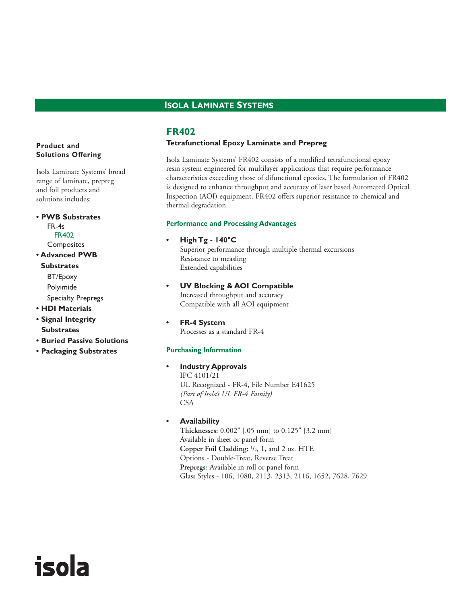# **ISOLA LAMINATE SYSTEMS**

# **FR402**

#### **Tetrafunctional Epoxy Laminate and Prepreg**

Isola Laminate Systems' FR402 consists of a modified tetrafunctional epoxy resin system engineered for multilayer applications that require performance characteristics exceeding those of difunctional epoxies. The formulation of FR402 is designed to enhance throughput and accuracy of laser based Automated Optical Inspection (AOI) equipment. FR402 offers superior resistance to chemical and thermal degradation.

#### **Performance and Processing Advantages**

# **• High Tg - 140°C**

Superior performance through multiple thermal excursions Resistance to measling Extended capabilities

- **UV Blocking & AOI Compatible** Increased throughput and accuracy Compatible with all AOI equipment
- **FR-4 System** Processes as a standard FR-4

## **Purchasing Information**

**• Industry Approvals**

IPC 4101/21 UL Recognized - FR-4, File Number E41625 *(Part of Isola's UL FR-4 Family)* CSA

#### **• Availability**

**Thicknesses:** 0.002" [.05 mm] to 0.125" [3.2 mm] Available in sheet or panel form **Copper Foil Cladding:** <sup>1</sup> /2, 1, and 2 oz. HTE Options - Double-Treat, Reverse Treat **Prepregs:** Available in roll or panel form Glass Styles - 106, 1080, 2113, 2313, 2116, 1652, 7628, 7629

## **Product and Solutions Offering**

Isola Laminate Systems' broad range of laminate, prepreg and foil products and solutions includes:

- **PWB Substrates**  FR-4s FR402 **Composites**
- **Advanced PWB Substrates** BT/Epoxy
	- Polyimide Specialty Prepregs
- **HDI Materials**
- **Signal Integrity Substrates**

isola

- **Buried Passive Solutions**
- **Packaging Substrates**